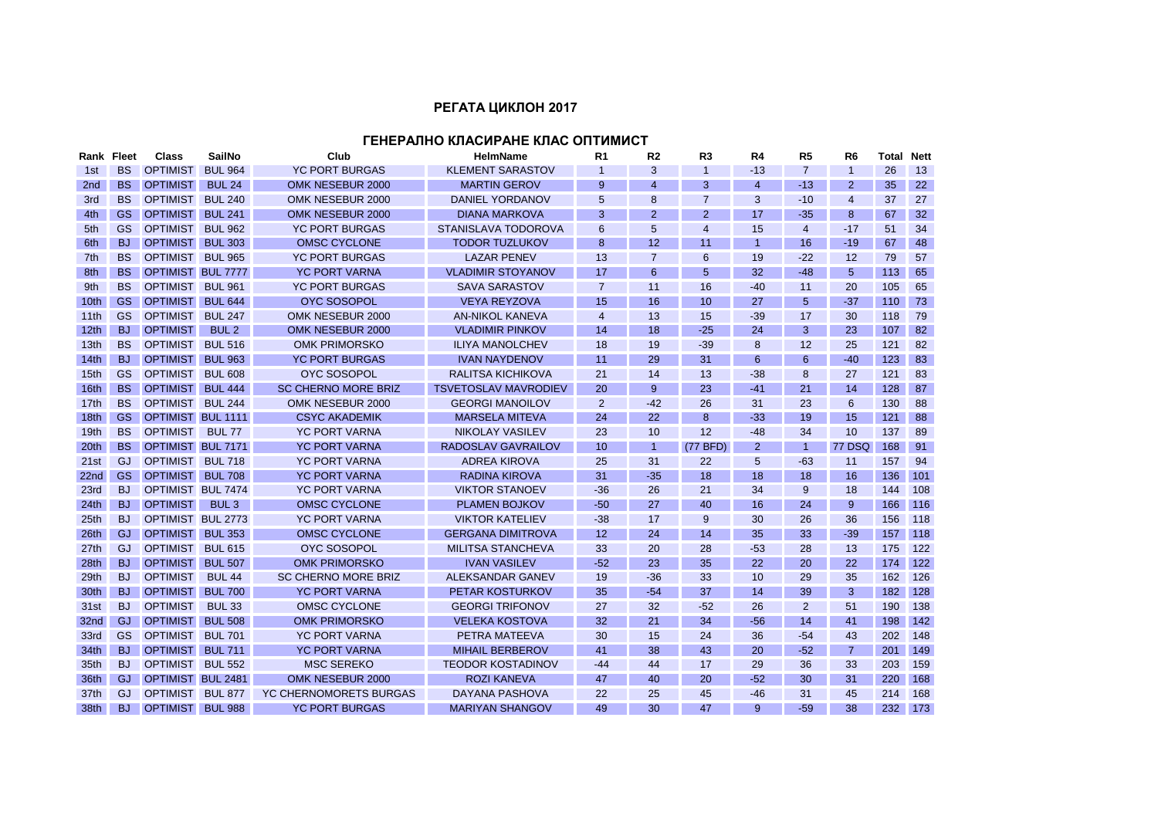## **РЕГАТА ЦИКЛОН 2017**

## **ГЕНЕРАЛНО КЛАСИРАНЕ КЛАС ОПТИМИСТ**

| Rank Fleet       |           | <b>Class</b>             | SailNo           | Club                          | <b>HelmName</b>             | R <sub>1</sub> | R <sub>2</sub> | R <sub>3</sub> | R <sub>4</sub> | R <sub>5</sub> | R <sub>6</sub> | Total | <b>Nett</b> |
|------------------|-----------|--------------------------|------------------|-------------------------------|-----------------------------|----------------|----------------|----------------|----------------|----------------|----------------|-------|-------------|
| 1st              | <b>BS</b> | <b>OPTIMIST</b>          | <b>BUL 964</b>   | <b>YC PORT BURGAS</b>         | <b>KLEMENT SARASTOV</b>     | $\overline{1}$ | 3              | 1              | $-13$          | $\overline{7}$ | $\overline{1}$ | 26    | 13          |
| 2 <sub>nd</sub>  | <b>BS</b> | <b>OPTIMIST</b>          | <b>BUL 24</b>    | OMK NESEBUR 2000              | <b>MARTIN GEROV</b>         | 9              | 4              | 3              | $\overline{4}$ | $-13$          | 2              | 35    | 22          |
| 3rd              | <b>BS</b> | <b>OPTIMIST</b>          | <b>BUL 240</b>   | OMK NESEBUR 2000              | <b>DANIEL YORDANOV</b>      | 5              | 8              | 7              | 3              | $-10$          | $\overline{4}$ | 37    | 27          |
| 4th              | GS        | <b>OPTIMIST</b>          | <b>BUL 241</b>   | OMK NESEBUR 2000              | <b>DIANA MARKOVA</b>        | 3              | $\overline{2}$ | $\overline{2}$ | 17             | $-35$          | 8              | 67    | 32          |
| 5th              | GS.       | <b>OPTIMIST</b>          | <b>BUL 962</b>   | <b>YC PORT BURGAS</b>         | STANISLAVA TODOROVA         | 6              | 5              | 4              | 15             | 4              | $-17$          | 51    | 34          |
| 6th              | <b>BJ</b> | <b>OPTIMIST</b>          | <b>BUL 303</b>   | <b>OMSC CYCLONE</b>           | <b>TODOR TUZLUKOV</b>       | 8              | 12             | 11             | 1              | 16             | $-19$          | 67    | 48          |
| 7th              | <b>BS</b> | <b>OPTIMIST</b>          | <b>BUL 965</b>   | <b>YC PORT BURGAS</b>         | <b>LAZAR PENEV</b>          | 13             | $\overline{7}$ | 6              | 19             | $-22$          | 12             | 79    | 57          |
| 8th              | <b>BS</b> | <b>OPTIMIST BUL 7777</b> |                  | <b>YC PORT VARNA</b>          | <b>VLADIMIR STOYANOV</b>    | 17             | 6              | 5              | 32             | $-48$          | 5              | 113   | 65          |
| 9th              | <b>BS</b> | <b>OPTIMIST</b>          | <b>BUL 961</b>   | <b>YC PORT BURGAS</b>         | <b>SAVA SARASTOV</b>        | $\overline{7}$ | 11             | 16             | $-40$          | 11             | 20             | 105   | 65          |
| 10th             | <b>GS</b> | <b>OPTIMIST</b>          | <b>BUL 644</b>   | <b>OYC SOSOPOL</b>            | <b>VEYA REYZOVA</b>         | 15             | 16             | 10             | 27             | 5              | $-37$          | 110   | 73          |
| 11th             | GS        | <b>OPTIMIST</b>          | <b>BUL 247</b>   | OMK NESEBUR 2000              | <b>AN-NIKOL KANEVA</b>      | $\overline{4}$ | 13             | 15             | $-39$          | 17             | 30             | 118   | 79          |
| 12 <sub>th</sub> | <b>BJ</b> | <b>OPTIMIST</b>          | BUL <sub>2</sub> | OMK NESEBUR 2000              | <b>VLADIMIR PINKOV</b>      | 14             | 18             | $-25$          | 24             | 3              | 23             | 107   | 82          |
| 13 <sub>th</sub> | <b>BS</b> | <b>OPTIMIST</b>          | <b>BUL 516</b>   | <b>OMK PRIMORSKO</b>          | <b>ILIYA MANOLCHEV</b>      | 18             | 19             | $-39$          | 8              | 12             | 25             | 121   | 82          |
| 14th             | <b>BJ</b> | <b>OPTIMIST</b>          | <b>BUL 963</b>   | <b>YC PORT BURGAS</b>         | <b>IVAN NAYDENOV</b>        | 11             | 29             | 31             | 6              | 6              | $-40$          | 123   | 83          |
| 15 <sub>th</sub> | <b>GS</b> | <b>OPTIMIST</b>          | <b>BUL 608</b>   | <b>OYC SOSOPOL</b>            | <b>RALITSA KICHIKOVA</b>    | 21             | 14             | 13             | $-38$          | 8              | 27             | 121   | 83          |
| 16th             | <b>BS</b> | <b>OPTIMIST</b>          | <b>BUL 444</b>   | <b>SC CHERNO MORE BRIZ</b>    | <b>TSVETOSLAV MAVRODIEV</b> | 20             | 9              | 23             | $-41$          | 21             | 14             | 128   | 87          |
| 17 <sub>th</sub> | <b>BS</b> | <b>OPTIMIST</b>          | <b>BUL 244</b>   | OMK NESEBUR 2000              | <b>GEORGI MANOILOV</b>      | $\overline{2}$ | $-42$          | 26             | 31             | 23             | 6              | 130   | 88          |
| 18 <sub>th</sub> | <b>GS</b> | <b>OPTIMIST BUL 1111</b> |                  | <b>CSYC AKADEMIK</b>          | <b>MARSELA MITEVA</b>       | 24             | 22             | 8              | $-33$          | 19             | 15             | 121   | 88          |
| 19 <sub>th</sub> | <b>BS</b> | <b>OPTIMIST</b>          | <b>BUL 77</b>    | <b>YC PORT VARNA</b>          | NIKOLAY VASILEV             | 23             | 10             | 12             | $-48$          | 34             | 10             | 137   | 89          |
| 20 <sup>th</sup> | <b>BS</b> | OPTIMIST BUL 7171        |                  | <b>YC PORT VARNA</b>          | RADOSLAV GAVRAILOV          | 10             | $\mathbf{1}$   | (77 BFD)       | 2              | -1             | 77 DSQ         | 168   | 91          |
| 21st             | GJ        | <b>OPTIMIST</b>          | <b>BUL 718</b>   | <b>YC PORT VARNA</b>          | <b>ADREA KIROVA</b>         | 25             | 31             | 22             | 5              | $-63$          | 11             | 157   | 94          |
| 22nd             | GS        | <b>OPTIMIST</b>          | <b>BUL 708</b>   | <b>YC PORT VARNA</b>          | <b>RADINA KIROVA</b>        | 31             | $-35$          | 18             | 18             | 18             | 16             | 136   | 101         |
| 23rd             | <b>BJ</b> | OPTIMIST BUL 7474        |                  | <b>YC PORT VARNA</b>          | <b>VIKTOR STANOEV</b>       | $-36$          | 26             | 21             | 34             | 9              | 18             | 144   | 108         |
| 24th             | <b>BJ</b> | <b>OPTIMIST</b>          | BUL <sub>3</sub> | <b>OMSC CYCLONE</b>           | <b>PLAMEN BOJKOV</b>        | $-50$          | 27             | 40             | 16             | 24             | 9              | 166   | 116         |
| 25 <sub>th</sub> | <b>BJ</b> | OPTIMIST BUL 2773        |                  | <b>YC PORT VARNA</b>          | <b>VIKTOR KATELIEV</b>      | $-38$          | 17             | 9              | 30             | 26             | 36             | 156   | 118         |
| 26th             | GJ.       | OPTIMIST BUL 353         |                  | <b>OMSC CYCLONE</b>           | <b>GERGANA DIMITROVA</b>    | 12             | 24             | 14             | 35             | 33             | $-39$          | 157   | 118         |
| 27th             | GJ        | <b>OPTIMIST</b>          | <b>BUL 615</b>   | <b>OYC SOSOPOL</b>            | <b>MILITSA STANCHEVA</b>    | 33             | 20             | 28             | $-53$          | 28             | 13             | 175   | 122         |
| 28th             | <b>BJ</b> | OPTIMIST BUL 507         |                  | <b>OMK PRIMORSKO</b>          | <b>IVAN VASILEV</b>         | $-52$          | 23             | 35             | 22             | 20             | 22             | 174   | 122         |
| 29 <sub>th</sub> | <b>BJ</b> | <b>OPTIMIST</b>          | <b>BUL 44</b>    | <b>SC CHERNO MORE BRIZ</b>    | ALEKSANDAR GANEV            | 19             | $-36$          | 33             | 10             | 29             | 35             | 162   | 126         |
| 30 <sub>th</sub> | <b>BJ</b> | <b>OPTIMIST</b>          | <b>BUL 700</b>   | <b>YC PORT VARNA</b>          | <b>PETAR KOSTURKOV</b>      | 35             | $-54$          | 37             | 14             | 39             | 3              | 182   | 128         |
| 31st             | <b>BJ</b> | <b>OPTIMIST</b>          | <b>BUL 33</b>    | <b>OMSC CYCLONE</b>           | <b>GEORGI TRIFONOV</b>      | 27             | 32             | $-52$          | 26             | 2              | 51             | 190   | 138         |
| 32nd             | GJ.       | <b>OPTIMIST</b>          | <b>BUL 508</b>   | <b>OMK PRIMORSKO</b>          | <b>VELEKA KOSTOVA</b>       | 32             | 21             | 34             | -56            | 14             | 41             | 198   | 142         |
| 33rd             | GS.       | <b>OPTIMIST</b>          | <b>BUL 701</b>   | <b>YC PORT VARNA</b>          | PETRA MATEEVA               | 30             | 15             | 24             | 36             | $-54$          | 43             | 202   | 148         |
| 34 <sub>th</sub> | BJ.       | <b>OPTIMIST</b>          | <b>BUL 711</b>   | <b>YC PORT VARNA</b>          | <b>MIHAIL BERBEROV</b>      | 41             | 38             | 43             | 20             | $-52$          | $\overline{7}$ | 201   | 149         |
| 35th             | <b>BJ</b> | <b>OPTIMIST</b>          | <b>BUL 552</b>   | <b>MSC SEREKO</b>             | TEODOR KOSTADINOV           | $-44$          | 44             | 17             | 29             | 36             | 33             | 203   | 159         |
| 36th             | GJ        | <b>OPTIMIST BUL 2481</b> |                  | OMK NESEBUR 2000              | <b>ROZI KANEVA</b>          | 47             | 40             | 20             | $-52$          | 30             | 31             | 220   | 168         |
| 37th             | GJ        | <b>OPTIMIST</b>          | <b>BUL 877</b>   | <b>YC CHERNOMORETS BURGAS</b> | <b>DAYANA PASHOVA</b>       | 22             | 25             | 45             | $-46$          | 31             | 45             | 214   | 168         |
| 38th             | <b>BJ</b> | <b>OPTIMIST</b>          | <b>BUL 988</b>   | <b>YC PORT BURGAS</b>         | <b>MARIYAN SHANGOV</b>      | 49             | 30             | 47             | 9              | $-59$          | 38             | 232   | 173         |